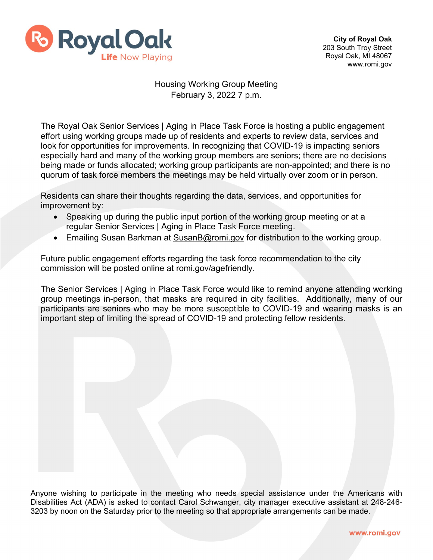

## Housing Working Group Meeting February 3, 2022 7 p.m.

The Royal Oak Senior Services | Aging in Place Task Force is hosting a public engagement effort using working groups made up of residents and experts to review data, services and look for opportunities for improvements. In recognizing that COVID-19 is impacting seniors especially hard and many of the working group members are seniors; there are no decisions being made or funds allocated; working group participants are non-appointed; and there is no quorum of task force members the meetings may be held virtually over zoom or in person.

Residents can share their thoughts regarding the data, services, and opportunities for improvement by:

- Speaking up during the public input portion of the working group meeting or at a regular Senior Services | Aging in Place Task Force meeting.
- Emailing Susan Barkman at [SusanB@romi.gov](mailto:SusanB@romi.gov) for distribution to the working group.

Future public engagement efforts regarding the task force recommendation to the city commission will be posted online at romi.gov/agefriendly.

The Senior Services | Aging in Place Task Force would like to remind anyone attending working group meetings in-person, that masks are required in city facilities. Additionally, many of our participants are seniors who may be more susceptible to COVID-19 and wearing masks is an important step of limiting the spread of COVID-19 and protecting fellow residents.

Anyone wishing to participate in the meeting who needs special assistance under the Americans with Disabilities Act (ADA) is asked to contact Carol Schwanger, city manager executive assistant at 248-246- 3203 by noon on the Saturday prior to the meeting so that appropriate arrangements can be made.